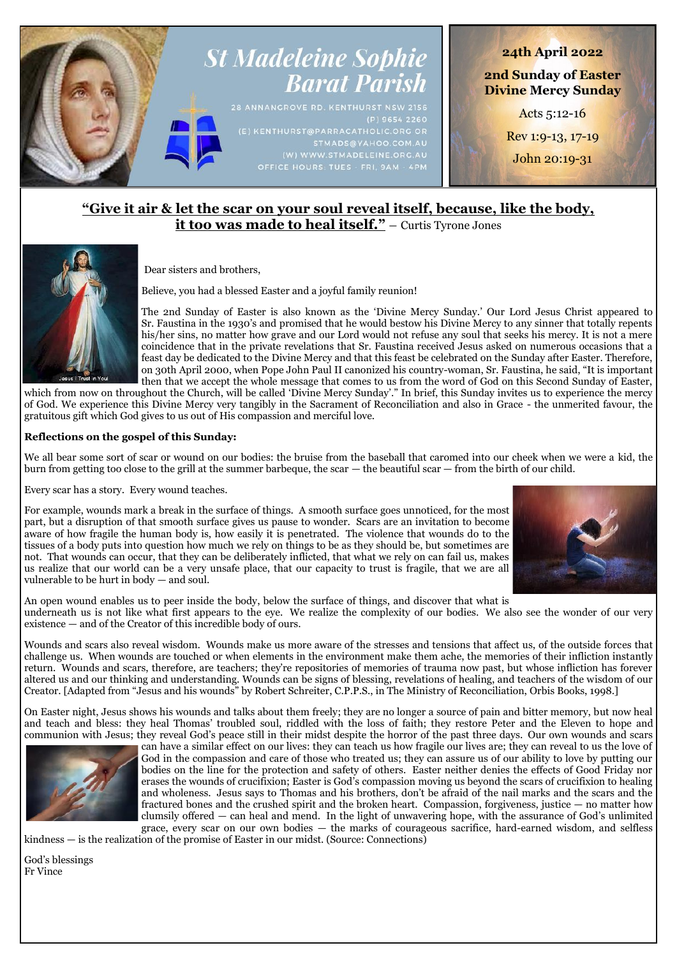

# **"Give it air & let the scar on your soul reveal itself, because, like the body,**  it too was made to heal itself." - Curtis Tyrone Jones



Dear sisters and brothers,

Believe, you had a blessed Easter and a joyful family reunion!

The 2nd Sunday of Easter is also known as the 'Divine Mercy Sunday.' Our Lord Jesus Christ appeared to Sr. Faustina in the 1930's and promised that he would bestow his Divine Mercy to any sinner that totally repents his/her sins, no matter how grave and our Lord would not refuse any soul that seeks his mercy. It is not a mere coincidence that in the private revelations that Sr. Faustina received Jesus asked on numerous occasions that a feast day be dedicated to the Divine Mercy and that this feast be celebrated on the Sunday after Easter. Therefore, on 30th April 2000, when Pope John Paul II canonized his country-woman, Sr. Faustina, he said, "It is important then that we accept the whole message that comes to us from the word of God on this Second Sunday of Easter,

which from now on throughout the Church, will be called 'Divine Mercy Sunday'." In brief, this Sunday invites us to experience the mercy of God. We experience this Divine Mercy very tangibly in the Sacrament of Reconciliation and also in Grace - the unmerited favour, the gratuitous gift which God gives to us out of His compassion and merciful love.

#### **Reflections on the gospel of this Sunday:**

We all bear some sort of scar or wound on our bodies: the bruise from the baseball that caromed into our cheek when we were a kid, the burn from getting too close to the grill at the summer barbeque, the scar — the beautiful scar — from the birth of our child.

Every scar has a story. Every wound teaches.

For example, wounds mark a break in the surface of things. A smooth surface goes unnoticed, for the most part, but a disruption of that smooth surface gives us pause to wonder. Scars are an invitation to become aware of how fragile the human body is, how easily it is penetrated. The violence that wounds do to the tissues of a body puts into question how much we rely on things to be as they should be, but sometimes are not. That wounds can occur, that they can be deliberately inflicted, that what we rely on can fail us, makes us realize that our world can be a very unsafe place, that our capacity to trust is fragile, that we are all vulnerable to be hurt in body — and soul.



An open wound enables us to peer inside the body, below the surface of things, and discover that what is underneath us is not like what first appears to the eye. We realize the complexity of our bodies. We also see the wonder of our very existence — and of the Creator of this incredible body of ours.

Wounds and scars also reveal wisdom. Wounds make us more aware of the stresses and tensions that affect us, of the outside forces that challenge us. When wounds are touched or when elements in the environment make them ache, the memories of their infliction instantly return. Wounds and scars, therefore, are teachers; they're repositories of memories of trauma now past, but whose infliction has forever altered us and our thinking and understanding. Wounds can be signs of blessing, revelations of healing, and teachers of the wisdom of our Creator. [Adapted from "Jesus and his wounds" by Robert Schreiter, C.P.P.S., in The Ministry of Reconciliation, Orbis Books, 1998.]

On Easter night, Jesus shows his wounds and talks about them freely; they are no longer a source of pain and bitter memory, but now heal and teach and bless: they heal Thomas' troubled soul, riddled with the loss of faith; they restore Peter and the Eleven to hope and communion with Jesus; they reveal God's peace still in their midst despite the horror of the past three days. Our own wounds and scars



can have a similar effect on our lives: they can teach us how fragile our lives are; they can reveal to us the love of God in the compassion and care of those who treated us; they can assure us of our ability to love by putting our bodies on the line for the protection and safety of others. Easter neither denies the effects of Good Friday nor erases the wounds of crucifixion; Easter is God's compassion moving us beyond the scars of crucifixion to healing and wholeness. Jesus says to Thomas and his brothers, don't be afraid of the nail marks and the scars and the fractured bones and the crushed spirit and the broken heart. Compassion, forgiveness, justice — no matter how clumsily offered — can heal and mend. In the light of unwavering hope, with the assurance of God's unlimited grace, every scar on our own bodies — the marks of courageous sacrifice, hard-earned wisdom, and selfless

kindness — is the realization of the promise of Easter in our midst. (Source: Connections)

God's blessings Fr Vince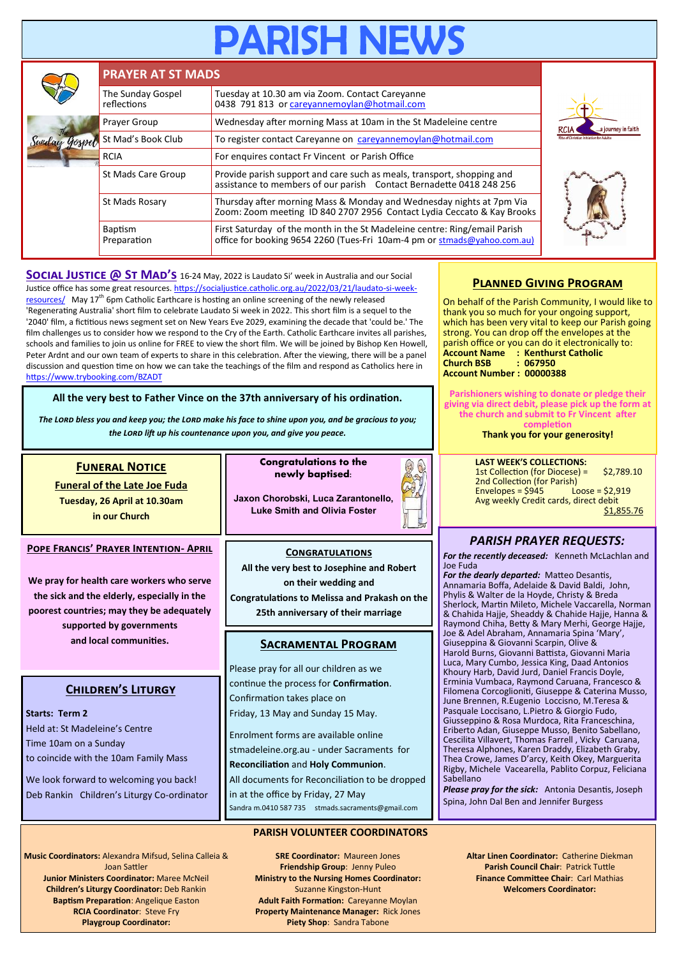# **PARISH NEV**

|  | <b>PRAYER AT ST MADS</b>         |                                                                                                                                                       |                                         |  |  |  |
|--|----------------------------------|-------------------------------------------------------------------------------------------------------------------------------------------------------|-----------------------------------------|--|--|--|
|  | The Sunday Gospel<br>reflections | Tuesday at 10.30 am via Zoom. Contact Careyanne<br>0438 791 813 or careyannemoylan@hotmail.com                                                        | a journey in faith<br>RCIA              |  |  |  |
|  | Prayer Group                     | Wednesday after morning Mass at 10am in the St Madeleine centre                                                                                       |                                         |  |  |  |
|  | St Mad's Book Club               | To register contact Careyanne on careyannemoylan@hotmail.com                                                                                          | Rite of Christian Initiation for Adults |  |  |  |
|  | <b>RCIA</b>                      | For enquires contact Fr Vincent or Parish Office                                                                                                      |                                         |  |  |  |
|  | St Mads Care Group               | Provide parish support and care such as meals, transport, shopping and<br>assistance to members of our parish Contact Bernadette 0418 248 256         |                                         |  |  |  |
|  | St Mads Rosary                   | Thursday after morning Mass & Monday and Wednesday nights at 7pm Via<br>Zoom: Zoom meeting ID 840 2707 2956 Contact Lydia Ceccato & Kay Brooks        |                                         |  |  |  |
|  | Baptism<br>Preparation           | First Saturday of the month in the St Madeleine centre: Ring/email Parish<br>office for booking 9654 2260 (Tues-Fri 10am-4 pm or stmads@yahoo.com.au) |                                         |  |  |  |

**SOCIAL JUSTICE @ ST MAD'S** 16-24 May, 2022 is Laudato Si' week in Australia and our Social Justice office has some great resources. [https://socialjustice.catholic.org.au/2022/03/21/laudato](https://socialjustice.catholic.org.au/2022/03/21/laudato-si-week-resources/)-si-week[resources/](https://socialjustice.catholic.org.au/2022/03/21/laudato-si-week-resources/) May 17<sup>th</sup> 6pm Catholic Earthcare is hosting an online screening of the newly released 'Regenerating Australia' short film to celebrate Laudato Si week in 2022. This short film is a sequel to the '2040' film, a fictitious news segment set on New Years Eve 2029, examining the decade that 'could be.' The film challenges us to consider how we respond to the Cry of the Earth. Catholic Earthcare invites all parishes, schools and families to join us online for FREE to view the short film. We will be joined by Bishop Ken Howell, Peter Ardnt and our own team of experts to share in this celebration. After the viewing, there will be a panel discussion and question time on how we can take the teachings of the film and respond as Catholics here in <https://www.trybooking.com/BZADT>

**All the very best to Father Vince on the 37th anniversary of his ordination.**

*The Lord bless you and keep you; the Lord make his face to shine upon you, and be gracious to you; the Lord lift up his countenance upon you, and give you peace.*



**Pope Francis' Prayer Intention- April**

**We pray for health care workers who serve the sick and the elderly, especially in the poorest countries; may they be adequately supported by governments and local communities.** 

## **Children's Liturgy**

**Starts: Term 2** Held at: St Madeleine's Centre Time 10am on a Sunday to coincide with the 10am Family Mass

We look forward to welcoming you back! Deb Rankin Children's Liturgy Co-ordinator **Jaxon Chorobski, Luca Zarantonello, Luke Smith and Olivia Foster**

**Congratulations All the very best to Josephine and Robert on their wedding and Congratulations to Melissa and Prakash on the 25th anniversary of their marriage**

## **Sacramental Program**

Please pray for all our children as we continue the process for **Confirmation**. Confirmation takes place on Friday, 13 May and Sunday 15 May.

Enrolment forms are available online

stmadeleine.org.au - under Sacraments for **Reconciliation** and **Holy Communion**.

All documents for Reconciliation to be dropped in at the office by Friday, 27 May Sandra m.0410 587 735 stmads.sacraments@gmail.com

## **PARISH VOLUNTEER COORDINATORS**

**Music Coordinators:** Alexandra Mifsud, Selina Calleia & Joan Sattler **Junior Ministers Coordinator:** Maree McNeil **Children's Liturgy Coordinator:** Deb Rankin **Baptism Preparation**: Angelique Easton **RCIA Coordinator**: Steve Fry **Playgroup Coordinator:** 

**SRE Coordinator:** Maureen Jones **Friendship Group**: Jenny Puleo **Ministry to the Nursing Homes Coordinator:**  Suzanne Kingston-Hunt **Adult Faith Formation:** Careyanne Moylan **Property Maintenance Manager:** Rick Jones **Piety Shop**: Sandra Tabone

# **Planned Giving Program**

On behalf of the Parish Community, I would like to thank you so much for your ongoing support, which has been very vital to keep our Parish going strong. You can drop off the envelopes at the parish office or you can do it electronically to: **Account Name : Kenthurst Catholic Church BSB : 067950 Account Number : 00000388**

**Parishioners wishing to donate or pledge their giving via direct debit, please pick up the form at the church and submit to Fr Vincent after completion**

**Thank you for your generosity!**

**LAST WEEK'S COLLECTIONS:** 1st Collection (for Diocese) = \$2,789.10 2nd Collection (for Parish)<br>Envelopes = \$945 Loose = \$2,919 Envelopes =  $$945$ Avg weekly Credit cards, direct debit \$1,855.76

## *PARISH PRAYER REQUESTS:*

*For the recently deceased:* Kenneth McLachlan and Joe Fuda

*For the dearly departed:* Matteo Desantis, Annamaria Boffa, Adelaide & David Baldi, John, Phylis & Walter de la Hoyde, Christy & Breda Sherlock, Martin Mileto, Michele Vaccarella, Norman & Chahida Hajje, Sheaddy & Chahide Hajje, Hanna & Raymond Chiha, Betty & Mary Merhi, George Hajje, Joe & Adel Abraham, Annamaria Spina 'Mary', Giuseppina & Giovanni Scarpin, Olive & Harold Burns, Giovanni Battista, Giovanni Maria Luca, Mary Cumbo, Jessica King, Daad Antonios Khoury Harb, David Jurd, Daniel Francis Doyle, Erminia Vumbaca, Raymond Caruana, Francesco & Filomena Corcoglioniti, Giuseppe & Caterina Musso, June Brennen, R.Eugenio Loccisno, M.Teresa & Pasquale Loccisano, L.Pietro & Giorgio Fudo, Giusseppino & Rosa Murdoca, Rita Franceschina, Eriberto Adan, Giuseppe Musso, Benito Sabellano, Cescilita Villavert, Thomas Farrell , Vicky Caruana, Theresa Alphones, Karen Draddy, Elizabeth Graby, Thea Crowe, James D'arcy, Keith Okey, Marguerita Rigby, Michele Vacearella, Pablito Corpuz, Feliciana Sabellano

*Please pray for the sick:* Antonia Desantis, Joseph Spina, John Dal Ben and Jennifer Burgess

> **Altar Linen Coordinator:** Catherine Diekman **Parish Council Chair**: Patrick Tuttle **Finance Committee Chair**: Carl Mathias **Welcomers Coordinator:**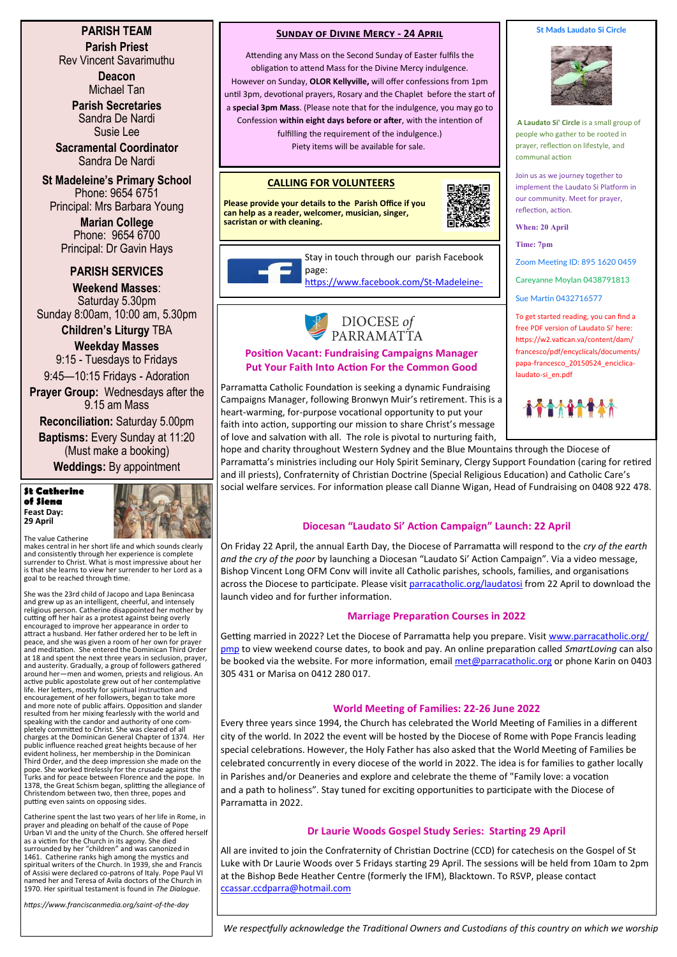**PARISH TEAM Parish Priest**

Rev Vincent Savarimuthu

**Deacon** Michael Tan

**Parish Secretaries** Sandra De Nardi Susie Lee

**Sacramental Coordinator** Sandra De Nardi

**St Madeleine's Primary School** Phone: 9654 6751 Principal: Mrs Barbara Young

> **Marian College** Phone: 9654 6700 Principal: Dr Gavin Hays

## **PARISH SERVICES**

**Weekend Masses**: Saturday 5.30pm Sunday 8:00am, 10:00 am, 5.30pm

**Children's Liturgy** TBA **Weekday Masses** 

9:15 - Tuesdays to Fridays

9:45—10:15 Fridays - Adoration **Prayer Group:** Wednesdays after the 9.15 am Mass

**Reconciliation:** Saturday 5.00pm

**Baptisms:** Every Sunday at 11:20 (Must make a booking)

**Weddings:** By appointment

**St Catherine of Siena Feast Day: 29 April**



The value Catherine makes central in her short life and which sounds clearly and consistently through her experience is complete surrender to Christ. What is most impressive about her is that she learns to view her surrender to her Lord as a goal to be reached through time.

She was the 23rd child of Jacopo and Lapa Benincasa and grew up as an intelligent, cheerful, and intensely religious person. Catherine disappointed her mother by cutting off her hair as a protest against being overly encouraged to improve her appearance in order to attract a husband. Her father ordered her to be left in peace, and she was given a room of her own for prayer and meditation. She entered the Dominican Third Order at 18 and spent the next three years in seclusion, prayer, and austerity. Gradually, a group of followers gathered around her—men and women, priests and religious. An active public apostolate grew out of her contemplative life. Her letters, mostly for spiritual instruction and encouragement of her followers, began to take more and more note of public affairs. Opposition and slander resulted from her mixing fearlessly with the world and speaking with the candor and authority of one completely committed to Christ. She was cleared of all charges at the Dominican General Chapter of 1374. Her public influence reached great heights because of her evident holiness, her membership in the Dominican Third Order, and the deep impression she made on the pope. She worked tirelessly for the crusade against the Turks and for peace between Florence and the pope. In 1378, the Great Schism began, splitting the allegiance of Christendom between two, then three, popes and putting even saints on opposing sides.

Catherine spent the last two years of her life in Rome, in prayer and pleading on behalf of the cause of Pope Urban VI and the unity of the Church. She offered herself as a victim for the Church in its agony. She died surrounded by her "children" and was canonized in 1461. Catherine ranks high among the mystics and spiritual writers of the Church. In 1939, she and Francis of Assisi were declared co-patrons of Italy. Pope Paul VI named her and Teresa of Avila doctors of the Church in 1970. Her spiritual testament is found in *The Dialogue*.

*https://www.franciscanmedia.org/saint-of-the-day*

#### **Sunday of Divine Mercy - 24 April**

Attending any Mass on the Second Sunday of Easter fulfils the obligation to attend Mass for the Divine Mercy indulgence. However on Sunday, **OLOR Kellyville,** will offer confessions from 1pm until 3pm, devotional prayers, Rosary and the Chaplet before the start of a **special 3pm Mass**. (Please note that for the indulgence, you may go to Confession **within eight days before or after**, with the intention of fulfilling the requirement of the indulgence.) Piety items will be available for sale.

#### **CALLING FOR VOLUNTEERS**

**Please provide your details to the Parish Office if you can help as a reader, welcomer, musician, singer, sacristan or with cleaning.**



Stay in touch through our parish Facebook page:

[https://www.facebook.com/St](https://www.facebook.com/St-Madeleine-Sophie-Barat-Parish-172182352871811/)-Madeleine-



#### **Position Vacant: Fundraising Campaigns Manager Put Your Faith Into Action For the Common Good**

Parramatta Catholic Foundation is seeking a dynamic Fundraising Campaigns Manager, following Bronwyn Muir's retirement. This is a heart-warming, for-purpose vocational opportunity to put your faith into action, supporting our mission to share Christ's message of love and salvation with all. The role is pivotal to nurturing faith,

hope and charity throughout Western Sydney and the Blue Mountains through the Diocese of Parramatta's ministries including our Holy Spirit Seminary, Clergy Support Foundation (caring for retired and ill priests), Confraternity of Christian Doctrine (Special Religious Education) and Catholic Care's social welfare services. For information please call Dianne Wigan, Head of Fundraising on 0408 922 478.

### **Diocesan "Laudato Si' Action Campaign" Launch: 22 April**

On Friday 22 April, the annual Earth Day, the Diocese of Parramatta will respond to the *cry of the earth and the cry of the poor* by launching a Diocesan "Laudato Si' Action Campaign". Via a video message, Bishop Vincent Long OFM Conv will invite all Catholic parishes, schools, families, and organisations across the Diocese to participate. Please visit [parracatholic.org/laudatosi](http://parracatholic.org/laudatosi) from 22 April to download the launch video and for further information.

#### **Marriage Preparation Courses in 2022**

Getting married in 2022? Let the Diocese of Parramatta help you prepare. Visit [www.parracatholic.org/](http://www.parracatholic.org/pmp) [pmp](http://www.parracatholic.org/pmp) to view weekend course dates, to book and pay. An online preparation called *SmartLoving* can also be booked via the website. For more information, email [met@parracatholic.org](mailto:met@parracatholic.org) or phone Karin on 0403 305 431 or Marisa on 0412 280 017.

#### **World Meeting of Families: 22-26 June 2022**

Every three years since 1994, the Church has celebrated the World Meeting of Families in a different city of the world. In 2022 the event will be hosted by the Diocese of Rome with Pope Francis leading special celebrations. However, the Holy Father has also asked that the World Meeting of Families be celebrated concurrently in every diocese of the world in 2022. The idea is for families to gather locally in Parishes and/or Deaneries and explore and celebrate the theme of "Family love: a vocation and a path to holiness". Stay tuned for exciting opportunities to participate with the Diocese of Parramatta in 2022.

### **Dr Laurie Woods Gospel Study Series: Starting 29 April**

All are invited to join the Confraternity of Christian Doctrine (CCD) for catechesis on the Gospel of St Luke with Dr Laurie Woods over 5 Fridays starting 29 April. The sessions will be held from 10am to 2pm at the Bishop Bede Heather Centre (formerly the IFM), Blacktown. To RSVP, please contact [ccassar.ccdparra@hotmail.com](mailto:ccassar.ccdparra@hotmail.com)



**A Laudato Si' Circle** is a small group of people who gather to be rooted in prayer, reflection on lifestyle, and communal action

Join us as we journey together to implement the Laudato Si Platform in our community. Meet for prayer, reflection, action.

**When: 20 April**

**Time: 7pm**

Zoom Meeting ID: 895 1620 0459

Careyanne Moylan 0438791813

Sue Martin 0432716577

To get started reading, you can find a free PDF version of Laudato Si' here: https://w2.vatican.va/content/dam/ francesco/pdf/encyclicals/documents/ papa-francesco\_20150524\_enciclicalaudato-si\_en.pdf